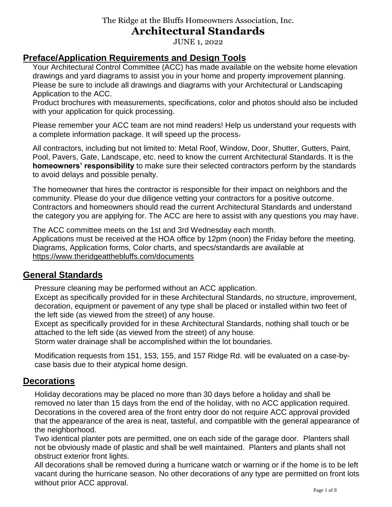## **Architectural Standards**

JUNE 1, 2022

## **Preface/Application Requirements and Design Tools**

Your Architectural Control Committee (ACC) has made available on the website home elevation drawings and yard diagrams to assist you in your home and property improvement planning. Please be sure to include all drawings and diagrams with your Architectural or Landscaping Application to the ACC.

Product brochures with measurements, specifications, color and photos should also be included with your application for quick processing.

Please remember your ACC team are not mind readers! Help us understand your requests with a complete information package. It will speed up the process.

All contractors, including but not limited to: Metal Roof, Window, Door, Shutter, Gutters, Paint, Pool, Pavers, Gate, Landscape, etc. need to know the current Architectural Standards. It is the **homeowners' responsibility** to make sure their selected contractors perform by the standards to avoid delays and possible penalty.

The homeowner that hires the contractor is responsible for their impact on neighbors and the community. Please do your due diligence vetting your contractors for a positive outcome. Contractors and homeowners should read the current Architectural Standards and understand the category you are applying for. The ACC are here to assist with any questions you may have.

The ACC committee meets on the 1st and 3rd Wednesday each month. Applications must be received at the HOA office by 12pm (noon) the Friday before the meeting. Diagrams, Application forms, Color charts, and specs/standards are available at <https://www.theridgeatthebluffs.com/documents>

### **General Standards**

Pressure cleaning may be performed without an ACC application.

Except as specifically provided for in these Architectural Standards, no structure, improvement, decoration, equipment or pavement of any type shall be placed or installed within two feet of the left side (as viewed from the street) of any house.

Except as specifically provided for in these Architectural Standards, nothing shall touch or be attached to the left side (as viewed from the street) of any house.

Storm water drainage shall be accomplished within the lot boundaries.

Modification requests from 151, 153, 155, and 157 Ridge Rd. will be evaluated on a case-bycase basis due to their atypical home design.

#### **Decorations**

Holiday decorations may be placed no more than 30 days before a holiday and shall be removed no later than 15 days from the end of the holiday, with no ACC application required. Decorations in the covered area of the front entry door do not require ACC approval provided that the appearance of the area is neat, tasteful, and compatible with the general appearance of the neighborhood.

Two identical planter pots are permitted, one on each side of the garage door. Planters shall not be obviously made of plastic and shall be well maintained. Planters and plants shall not obstruct exterior front lights.

All decorations shall be removed during a hurricane watch or warning or if the home is to be left vacant during the hurricane season. No other decorations of any type are permitted on front lots without prior ACC approval.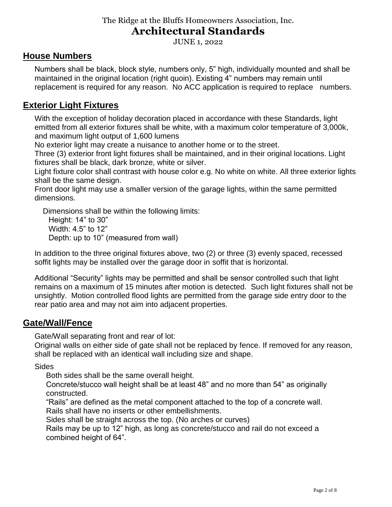## **Architectural Standards**

JUNE 1, 2022

#### **House Numbers**

Numbers shall be black, block style, numbers only, 5" high, individually mounted and shall be maintained in the original location (right quoin). Existing 4" numbers may remain until replacement is required for any reason. No ACC application is required to replace numbers.

## **Exterior Light Fixtures**

With the exception of holiday decoration placed in accordance with these Standards, light emitted from all exterior fixtures shall be white, with a maximum color temperature of 3,000k, and maximum light output of 1,600 lumens

No exterior light may create a nuisance to another home or to the street.

Three (3) exterior front light fixtures shall be maintained, and in their original locations. Light fixtures shall be black, dark bronze, white or silver.

Light fixture color shall contrast with house color e.g. No white on white. All three exterior lights shall be the same design.

Front door light may use a smaller version of the garage lights, within the same permitted dimensions.

Dimensions shall be within the following limits: Height: 14" to 30" Width: 4.5" to 12" Depth: up to 10" (measured from wall)

In addition to the three original fixtures above, two (2) or three (3) evenly spaced, recessed soffit lights may be installed over the garage door in soffit that is horizontal.

Additional "Security" lights may be permitted and shall be sensor controlled such that light remains on a maximum of 15 minutes after motion is detected. Such light fixtures shall not be unsightly. Motion controlled flood lights are permitted from the garage side entry door to the rear patio area and may not aim into adjacent properties.

#### **Gate/Wall/Fence**

Gate/Wall separating front and rear of lot:

Original walls on either side of gate shall not be replaced by fence. If removed for any reason, shall be replaced with an identical wall including size and shape.

**Sides** 

Both sides shall be the same overall height.

Concrete/stucco wall height shall be at least 48" and no more than 54" as originally constructed.

"Rails" are defined as the metal component attached to the top of a concrete wall. Rails shall have no inserts or other embellishments.

Sides shall be straight across the top. (No arches or curves)

Rails may be up to 12" high, as long as concrete/stucco and rail do not exceed a combined height of 64".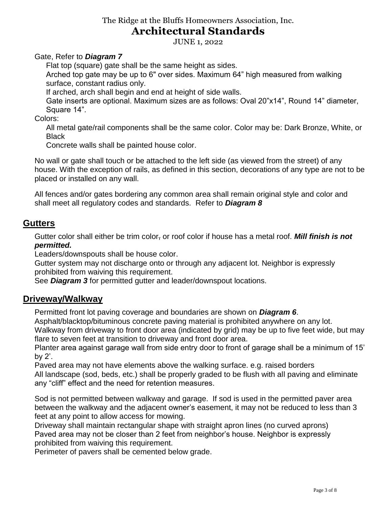## **Architectural Standards**

JUNE 1, 2022

Gate, Refer to *Diagram 7*

Flat top (square) gate shall be the same height as sides.

Arched top gate may be up to 6" over sides. Maximum 64" high measured from walking surface, constant radius only.

If arched, arch shall begin and end at height of side walls.

Gate inserts are optional. Maximum sizes are as follows: Oval 20"x14", Round 14" diameter, Square 14".

Colors:

All metal gate/rail components shall be the same color. Color may be: Dark Bronze, White, or Black

Concrete walls shall be painted house color.

No wall or gate shall touch or be attached to the left side (as viewed from the street) of any house. With the exception of rails, as defined in this section, decorations of any type are not to be placed or installed on any wall.

All fences and/or gates bordering any common area shall remain original style and color and shall meet all regulatory codes and standards. Refer to *Diagram 8*

#### **Gutters**

Gutter color shall either be trim color, or roof color if house has a metal roof. *Mill finish is not permitted.*

Leaders/downspouts shall be house color.

Gutter system may not discharge onto or through any adjacent lot. Neighbor is expressly prohibited from waiving this requirement.

See *Diagram 3* for permitted gutter and leader/downspout locations.

#### **Driveway/Walkway**

Permitted front lot paving coverage and boundaries are shown on *Diagram 6*.

Asphalt/blacktop/bituminous concrete paving material is prohibited anywhere on any lot.

Walkway from driveway to front door area (indicated by grid) may be up to five feet wide, but may flare to seven feet at transition to driveway and front door area.

Planter area against garage wall from side entry door to front of garage shall be a minimum of 15' by 2'.

Paved area may not have elements above the walking surface. e.g. raised borders All landscape (sod, beds, etc.) shall be properly graded to be flush with all paving and eliminate any "cliff" effect and the need for retention measures.

Sod is not permitted between walkway and garage. If sod is used in the permitted paver area between the walkway and the adjacent owner's easement, it may not be reduced to less than 3 feet at any point to allow access for mowing.

Driveway shall maintain rectangular shape with straight apron lines (no curved aprons) Paved area may not be closer than 2 feet from neighbor's house. Neighbor is expressly prohibited from waiving this requirement.

Perimeter of pavers shall be cemented below grade.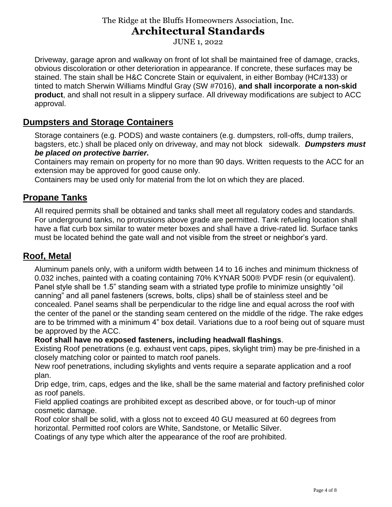## **Architectural Standards**

JUNE 1, 2022

Driveway, garage apron and walkway on front of lot shall be maintained free of damage, cracks, obvious discoloration or other deterioration in appearance. If concrete, these surfaces may be stained. The stain shall be H&C Concrete Stain or equivalent, in either Bombay (HC#133) or tinted to match Sherwin Williams Mindful Gray (SW #7016), **and shall incorporate a non-skid product**, and shall not result in a slippery surface. All driveway modifications are subject to ACC approval.

## **Dumpsters and Storage Containers**

Storage containers (e.g. PODS) and waste containers (e.g. dumpsters, roll-offs, dump trailers, bagsters, etc.) shall be placed only on driveway, and may not block sidewalk. *Dumpsters must be placed on protective barrier.*

Containers may remain on property for no more than 90 days. Written requests to the ACC for an extension may be approved for good cause only.

Containers may be used only for material from the lot on which they are placed.

### **Propane Tanks**

All required permits shall be obtained and tanks shall meet all regulatory codes and standards. For underground tanks, no protrusions above grade are permitted. Tank refueling location shall have a flat curb box similar to water meter boxes and shall have a drive-rated lid. Surface tanks must be located behind the gate wall and not visible from the street or neighbor's yard.

## **Roof, Metal**

Aluminum panels only, with a uniform width between 14 to 16 inches and minimum thickness of 0.032 inches, painted with a coating containing 70% KYNAR 500® PVDF resin (or equivalent). Panel style shall be 1.5" standing seam with a striated type profile to minimize unsightly "oil canning" and all panel fasteners (screws, bolts, clips) shall be of stainless steel and be concealed. Panel seams shall be perpendicular to the ridge line and equal across the roof with the center of the panel or the standing seam centered on the middle of the ridge. The rake edges are to be trimmed with a minimum 4" box detail. Variations due to a roof being out of square must be approved by the ACC.

#### **Roof shall have no exposed fasteners, including headwall flashings**.

Existing Roof penetrations (e.g. exhaust vent caps, pipes, skylight trim) may be pre-finished in a closely matching color or painted to match roof panels.

New roof penetrations, including skylights and vents require a separate application and a roof plan.

Drip edge, trim, caps, edges and the like, shall be the same material and factory prefinished color as roof panels.

Field applied coatings are prohibited except as described above, or for touch-up of minor cosmetic damage.

Roof color shall be solid, with a gloss not to exceed 40 GU measured at 60 degrees from horizontal. Permitted roof colors are White, Sandstone, or Metallic Silver.

Coatings of any type which alter the appearance of the roof are prohibited.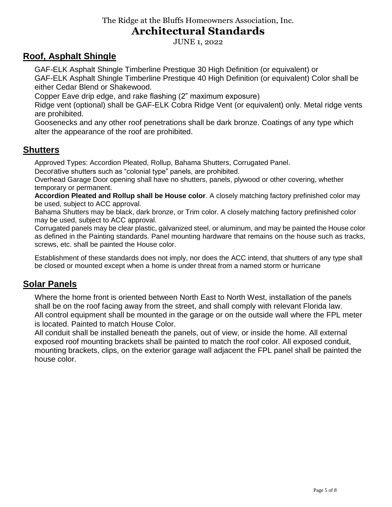## **Architectural Standards**

JUNE 1, 2022

### **Roof, Asphalt Shingle**

GAF-ELK Asphalt Shingle Timberline Prestique 30 High Definition (or equivalent) or

GAF-ELK Asphalt Shingle Timberline Prestique 40 High Definition (or equivalent) Color shall be either Cedar Blend or Shakewood.

Copper Eave drip edge, and rake flashing (2" maximum exposure)

Ridge vent (optional) shall be GAF-ELK Cobra Ridge Vent (or equivalent) only. Metal ridge vents are prohibited.

Goosenecks and any other roof penetrations shall be dark bronze. Coatings of any type which alter the appearance of the roof are prohibited.

### **Shutters**

Approved Types: Accordion Pleated, Rollup, Bahama Shutters, Corrugated Panel.

Decorative shutters such as "colonial type" panels, are prohibited.

Overhead Garage Door opening shall have no shutters, panels, plywood or other covering, whether temporary or permanent.

**Accordion Pleated and Rollup shall be House color**. A closely matching factory prefinished color may be used, subject to ACC approval.

Bahama Shutters may be black, dark bronze, or Trim color. A closely matching factory prefinished color may be used, subject to ACC approval.

Corrugated panels may be clear plastic, galvanized steel, or aluminum, and may be painted the House color as defined in the Painting standards. Panel mounting hardware that remains on the house such as tracks, screws, etc. shall be painted the House color.

Establishment of these standards does not imply, nor does the ACC intend, that shutters of any type shall be closed or mounted except when a home is under threat from a named storm or hurricane

## **Solar Panels**

Where the home front is oriented between North East to North West, installation of the panels shall be on the roof facing away from the street, and shall comply with relevant Florida law. All control equipment shall be mounted in the garage or on the outside wall where the FPL meter is located. Painted to match House Color.

All conduit shall be installed beneath the panels, out of view, or inside the home. All external exposed roof mounting brackets shall be painted to match the roof color. All exposed conduit, mounting brackets, clips, on the exterior garage wall adjacent the FPL panel shall be painted the house color.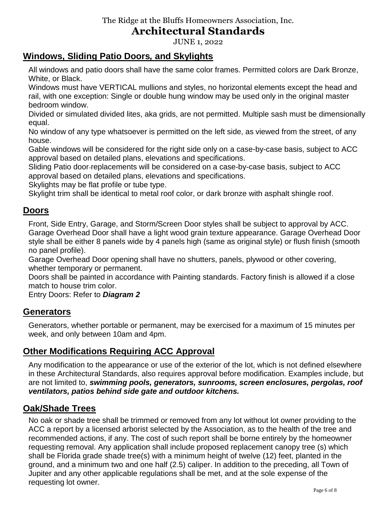## **Architectural Standards**

JUNE 1, 2022

## **Windows, Sliding Patio Doors***,* **and Skylights**

All windows and patio doors shall have the same color frames. Permitted colors are Dark Bronze, White, or Black.

Windows must have VERTICAL mullions and styles, no horizontal elements except the head and rail, with one exception: Single or double hung window may be used only in the original master bedroom window.

Divided or simulated divided lites, aka grids, are not permitted. Multiple sash must be dimensionally equal.

No window of any type whatsoever is permitted on the left side, as viewed from the street, of any house.

Gable windows will be considered for the right side only on a case-by-case basis, subject to ACC approval based on detailed plans, elevations and specifications.

Sliding Patio door replacements will be considered on a case-by-case basis, subject to ACC approval based on detailed plans, elevations and specifications.

Skylights may be flat profile or tube type.

Skylight trim shall be identical to metal roof color, or dark bronze with asphalt shingle roof.

#### **Doors**

Front, Side Entry, Garage, and Storm/Screen Door styles shall be subject to approval by ACC. Garage Overhead Door shall have a light wood grain texture appearance. Garage Overhead Door style shall be either 8 panels wide by 4 panels high (same as original style) or flush finish (smooth no panel profile).

Garage Overhead Door opening shall have no shutters, panels, plywood or other covering, whether temporary or permanent.

Doors shall be painted in accordance with Painting standards. Factory finish is allowed if a close match to house trim color.

Entry Doors: Refer to *Diagram 2*

#### **Generators**

Generators, whether portable or permanent, may be exercised for a maximum of 15 minutes per week, and only between 10am and 4pm.

### **Other Modifications Requiring ACC Approval**

Any modification to the appearance or use of the exterior of the lot, which is not defined elsewhere in these Architectural Standards, also requires approval before modification. Examples include, but are not limited to, *swimming pools, generators, sunrooms, screen enclosures, pergolas, roof ventilators, patios behind side gate and outdoor kitchens.*

### **Oak/Shade Trees**

No oak or shade tree shall be trimmed or removed from any lot without lot owner providing to the ACC a report by a licensed arborist selected by the Association, as to the health of the tree and recommended actions, if any. The cost of such report shall be borne entirely by the homeowner requesting removal. Any application shall include proposed replacement canopy tree (s) which shall be Florida grade shade tree(s) with a minimum height of twelve (12) feet, planted in the ground, and a minimum two and one half (2.5) caliper. In addition to the preceding, all Town of Jupiter and any other applicable regulations shall be met, and at the sole expense of the requesting lot owner.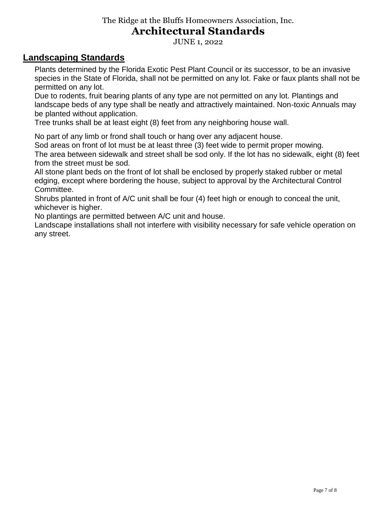## **Architectural Standards**

JUNE 1, 2022

#### **Landscaping Standards**

Plants determined by the Florida Exotic Pest Plant Council or its successor, to be an invasive species in the State of Florida, shall not be permitted on any lot. Fake or faux plants shall not be permitted on any lot.

Due to rodents, fruit bearing plants of any type are not permitted on any lot. Plantings and landscape beds of any type shall be neatly and attractively maintained. Non-toxic Annuals may be planted without application.

Tree trunks shall be at least eight (8) feet from any neighboring house wall.

No part of any limb or frond shall touch or hang over any adjacent house.

Sod areas on front of lot must be at least three (3) feet wide to permit proper mowing.

The area between sidewalk and street shall be sod only. If the lot has no sidewalk, eight (8) feet from the street must be sod.

All stone plant beds on the front of lot shall be enclosed by properly staked rubber or metal edging, except where bordering the house, subject to approval by the Architectural Control Committee.

Shrubs planted in front of A/C unit shall be four (4) feet high or enough to conceal the unit, whichever is higher.

No plantings are permitted between A/C unit and house.

Landscape installations shall not interfere with visibility necessary for safe vehicle operation on any street.